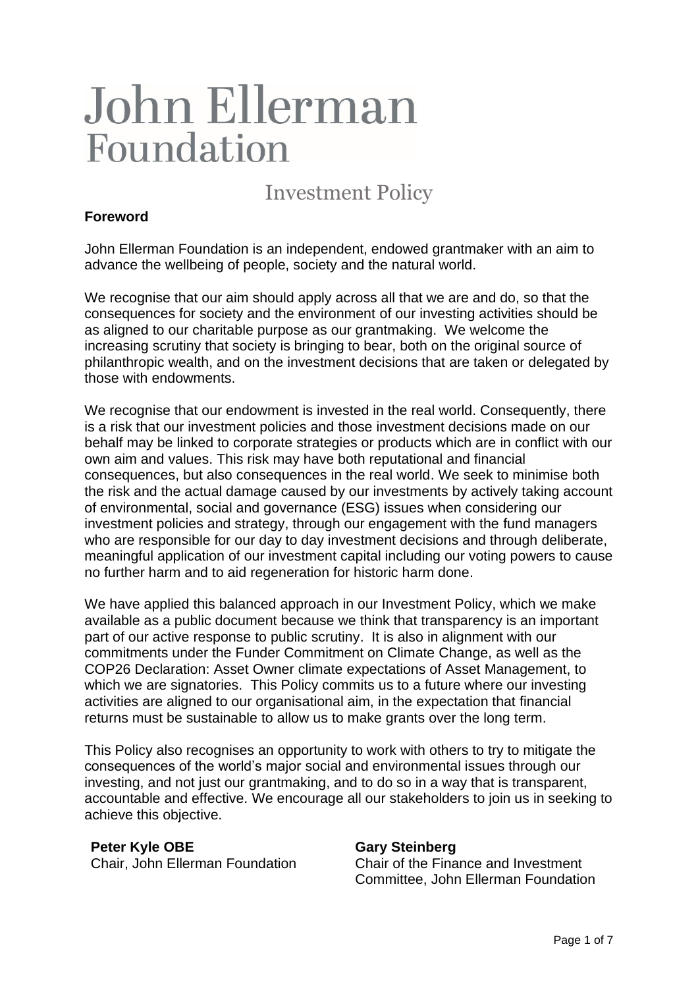# John Ellerman Foundation

Investment Policy

# **Foreword**

John Ellerman Foundation is an independent, endowed grantmaker with an aim to advance the wellbeing of people, society and the natural world.

We recognise that our aim should apply across all that we are and do, so that the consequences for society and the environment of our investing activities should be as aligned to our charitable purpose as our grantmaking. We welcome the increasing scrutiny that society is bringing to bear, both on the original source of philanthropic wealth, and on the investment decisions that are taken or delegated by those with endowments.

We recognise that our endowment is invested in the real world. Consequently, there is a risk that our investment policies and those investment decisions made on our behalf may be linked to corporate strategies or products which are in conflict with our own aim and values. This risk may have both reputational and financial consequences, but also consequences in the real world. We seek to minimise both the risk and the actual damage caused by our investments by actively taking account of environmental, social and governance (ESG) issues when considering our investment policies and strategy, through our engagement with the fund managers who are responsible for our day to day investment decisions and through deliberate, meaningful application of our investment capital including our voting powers to cause no further harm and to aid regeneration for historic harm done.

We have applied this balanced approach in our Investment Policy, which we make available as a public document because we think that transparency is an important part of our active response to public scrutiny. It is also in alignment with our commitments under the Funder Commitment on Climate Change, as well as the COP26 Declaration: Asset Owner climate expectations of Asset Management, to which we are signatories. This Policy commits us to a future where our investing activities are aligned to our organisational aim, in the expectation that financial returns must be sustainable to allow us to make grants over the long term.

This Policy also recognises an opportunity to work with others to try to mitigate the consequences of the world's major social and environmental issues through our investing, and not just our grantmaking, and to do so in a way that is transparent, accountable and effective. We encourage all our stakeholders to join us in seeking to achieve this objective.

#### **Peter Kyle OBE**

Chair, John Ellerman Foundation

#### **Gary Steinberg**

Chair of the Finance and Investment Committee, John Ellerman Foundation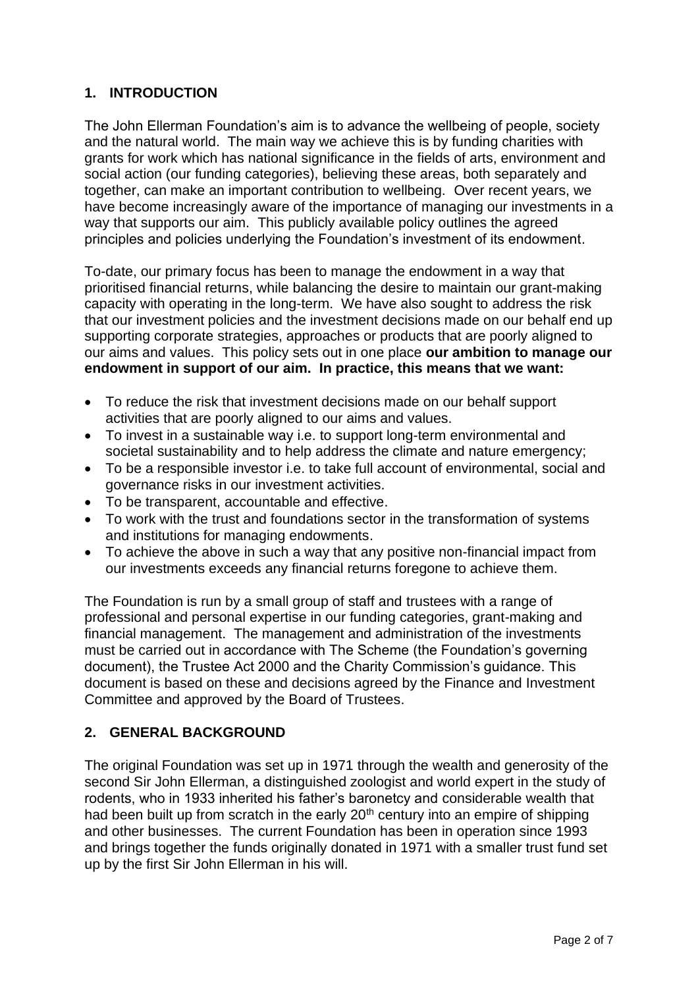# **1. INTRODUCTION**

The John Ellerman Foundation's aim is to advance the wellbeing of people, society and the natural world. The main way we achieve this is by funding charities with grants for work which has national significance in the fields of arts, environment and social action (our funding categories), believing these areas, both separately and together, can make an important contribution to wellbeing. Over recent years, we have become increasingly aware of the importance of managing our investments in a way that supports our aim. This publicly available policy outlines the agreed principles and policies underlying the Foundation's investment of its endowment.

To-date, our primary focus has been to manage the endowment in a way that prioritised financial returns, while balancing the desire to maintain our grant-making capacity with operating in the long-term. We have also sought to address the risk that our investment policies and the investment decisions made on our behalf end up supporting corporate strategies, approaches or products that are poorly aligned to our aims and values. This policy sets out in one place **our ambition to manage our endowment in support of our aim. In practice, this means that we want:**

- To reduce the risk that investment decisions made on our behalf support activities that are poorly aligned to our aims and values.
- To invest in a sustainable way i.e. to support long-term environmental and societal sustainability and to help address the climate and nature emergency;
- To be a responsible investor i.e. to take full account of environmental, social and governance risks in our investment activities.
- To be transparent, accountable and effective.
- To work with the trust and foundations sector in the transformation of systems and institutions for managing endowments.
- To achieve the above in such a way that any positive non-financial impact from our investments exceeds any financial returns foregone to achieve them.

The Foundation is run by a small group of staff and trustees with a range of professional and personal expertise in our funding categories, grant-making and financial management. The management and administration of the investments must be carried out in accordance with The Scheme (the Foundation's governing document), the Trustee Act 2000 and the Charity Commission's guidance. This document is based on these and decisions agreed by the Finance and Investment Committee and approved by the Board of Trustees.

# **2. GENERAL BACKGROUND**

The original Foundation was set up in 1971 through the wealth and generosity of the second Sir John Ellerman, a distinguished zoologist and world expert in the study of rodents, who in 1933 inherited his father's baronetcy and considerable wealth that had been built up from scratch in the early  $20<sup>th</sup>$  century into an empire of shipping and other businesses. The current Foundation has been in operation since 1993 and brings together the funds originally donated in 1971 with a smaller trust fund set up by the first Sir John Ellerman in his will.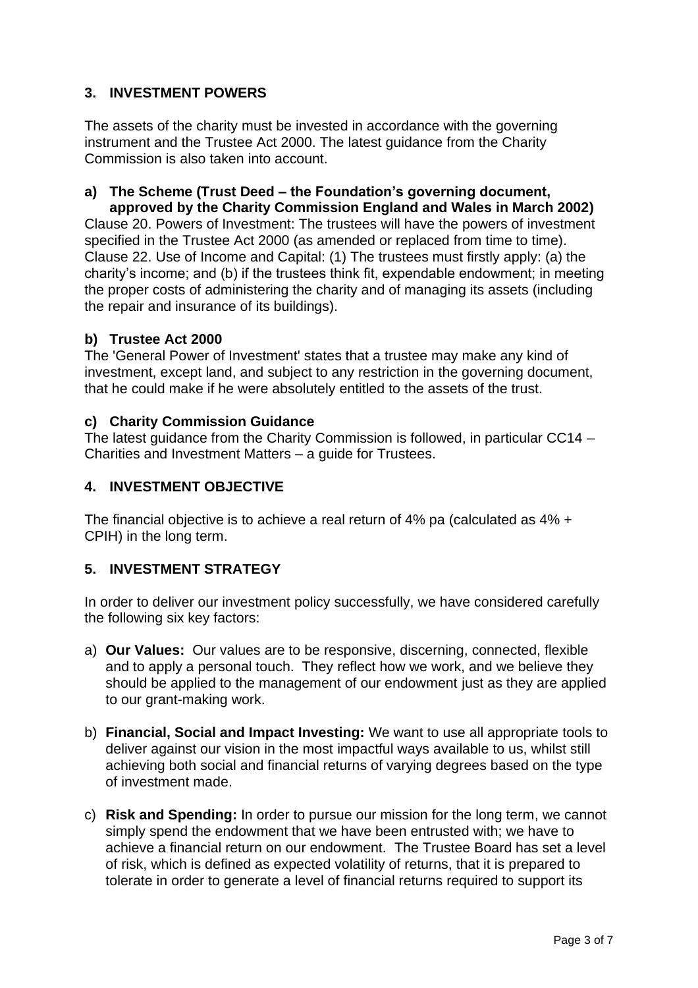# **3. INVESTMENT POWERS**

The assets of the charity must be invested in accordance with the governing instrument and the Trustee Act 2000. The latest guidance from the Charity Commission is also taken into account.

#### **a) The Scheme (Trust Deed – the Foundation's governing document, approved by the Charity Commission England and Wales in March 2002)**

Clause 20. Powers of Investment: The trustees will have the powers of investment specified in the Trustee Act 2000 (as amended or replaced from time to time). Clause 22. Use of Income and Capital: (1) The trustees must firstly apply: (a) the charity's income; and (b) if the trustees think fit, expendable endowment; in meeting the proper costs of administering the charity and of managing its assets (including the repair and insurance of its buildings).

## **b) Trustee Act 2000**

The 'General Power of Investment' states that a trustee may make any kind of investment, except land, and subject to any restriction in the governing document, that he could make if he were absolutely entitled to the assets of the trust.

## **c) Charity Commission Guidance**

The latest guidance from the Charity Commission is followed, in particular CC14 – Charities and Investment Matters – a guide for Trustees.

## **4. INVESTMENT OBJECTIVE**

The financial objective is to achieve a real return of 4% pa (calculated as 4% + CPIH) in the long term.

# **5. INVESTMENT STRATEGY**

In order to deliver our investment policy successfully, we have considered carefully the following six key factors:

- a) **Our Values:** Our values are to be responsive, discerning, connected, flexible and to apply a personal touch. They reflect how we work, and we believe they should be applied to the management of our endowment just as they are applied to our grant-making work.
- b) **Financial, Social and Impact Investing:** We want to use all appropriate tools to deliver against our vision in the most impactful ways available to us, whilst still achieving both social and financial returns of varying degrees based on the type of investment made.
- c) **Risk and Spending:** In order to pursue our mission for the long term, we cannot simply spend the endowment that we have been entrusted with; we have to achieve a financial return on our endowment. The Trustee Board has set a level of risk, which is defined as expected volatility of returns, that it is prepared to tolerate in order to generate a level of financial returns required to support its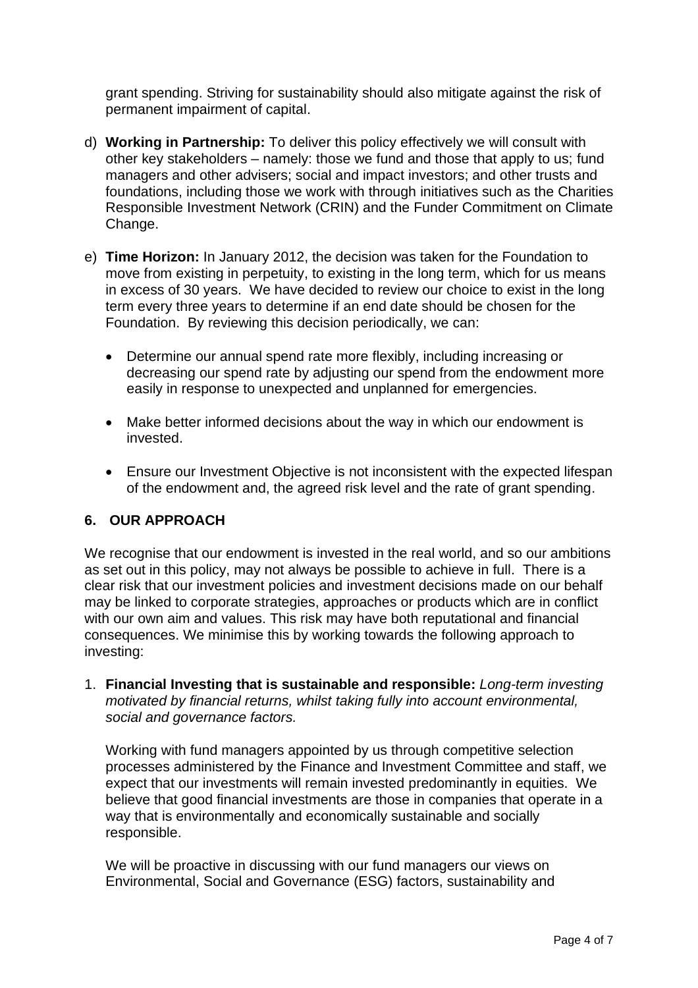grant spending. Striving for sustainability should also mitigate against the risk of permanent impairment of capital.

- d) **Working in Partnership:** To deliver this policy effectively we will consult with other key stakeholders – namely: those we fund and those that apply to us; fund managers and other advisers; social and impact investors; and other trusts and foundations, including those we work with through initiatives such as the Charities Responsible Investment Network (CRIN) and the Funder Commitment on Climate Change.
- e) **Time Horizon:** In January 2012, the decision was taken for the Foundation to move from existing in perpetuity, to existing in the long term, which for us means in excess of 30 years. We have decided to review our choice to exist in the long term every three years to determine if an end date should be chosen for the Foundation. By reviewing this decision periodically, we can:
	- Determine our annual spend rate more flexibly, including increasing or decreasing our spend rate by adjusting our spend from the endowment more easily in response to unexpected and unplanned for emergencies.
	- Make better informed decisions about the way in which our endowment is invested.
	- Ensure our Investment Objective is not inconsistent with the expected lifespan of the endowment and, the agreed risk level and the rate of grant spending.

#### **6. OUR APPROACH**

We recognise that our endowment is invested in the real world, and so our ambitions as set out in this policy, may not always be possible to achieve in full. There is a clear risk that our investment policies and investment decisions made on our behalf may be linked to corporate strategies, approaches or products which are in conflict with our own aim and values. This risk may have both reputational and financial consequences. We minimise this by working towards the following approach to investing:

1. **Financial Investing that is sustainable and responsible:** *Long-term investing motivated by financial returns, whilst taking fully into account environmental, social and governance factors.*

Working with fund managers appointed by us through competitive selection processes administered by the Finance and Investment Committee and staff, we expect that our investments will remain invested predominantly in equities. We believe that good financial investments are those in companies that operate in a way that is environmentally and economically sustainable and socially responsible.

We will be proactive in discussing with our fund managers our views on Environmental, Social and Governance (ESG) factors, sustainability and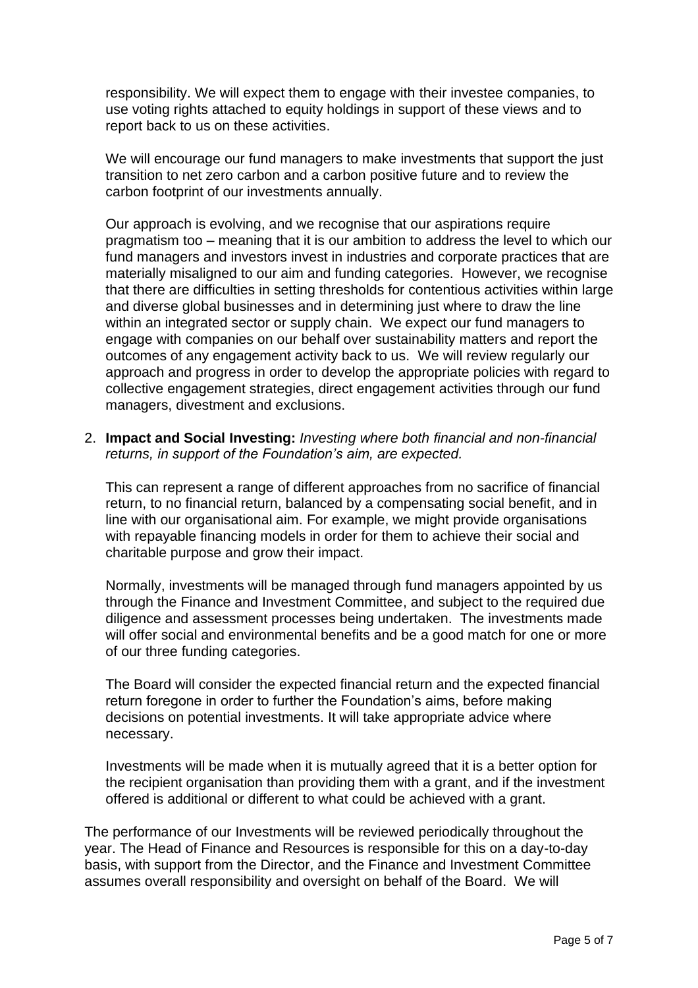responsibility. We will expect them to engage with their investee companies, to use voting rights attached to equity holdings in support of these views and to report back to us on these activities.

We will encourage our fund managers to make investments that support the just transition to net zero carbon and a carbon positive future and to review the carbon footprint of our investments annually.

Our approach is evolving, and we recognise that our aspirations require pragmatism too – meaning that it is our ambition to address the level to which our fund managers and investors invest in industries and corporate practices that are materially misaligned to our aim and funding categories. However, we recognise that there are difficulties in setting thresholds for contentious activities within large and diverse global businesses and in determining just where to draw the line within an integrated sector or supply chain. We expect our fund managers to engage with companies on our behalf over sustainability matters and report the outcomes of any engagement activity back to us. We will review regularly our approach and progress in order to develop the appropriate policies with regard to collective engagement strategies, direct engagement activities through our fund managers, divestment and exclusions.

2. **Impact and Social Investing:** *Investing where both financial and non-financial returns, in support of the Foundation's aim, are expected.*

This can represent a range of different approaches from no sacrifice of financial return, to no financial return, balanced by a compensating social benefit, and in line with our organisational aim. For example, we might provide organisations with repayable financing models in order for them to achieve their social and charitable purpose and grow their impact.

Normally, investments will be managed through fund managers appointed by us through the Finance and Investment Committee, and subject to the required due diligence and assessment processes being undertaken. The investments made will offer social and environmental benefits and be a good match for one or more of our three funding categories.

The Board will consider the expected financial return and the expected financial return foregone in order to further the Foundation's aims, before making decisions on potential investments. It will take appropriate advice where necessary.

Investments will be made when it is mutually agreed that it is a better option for the recipient organisation than providing them with a grant, and if the investment offered is additional or different to what could be achieved with a grant.

The performance of our Investments will be reviewed periodically throughout the year. The Head of Finance and Resources is responsible for this on a day-to-day basis, with support from the Director, and the Finance and Investment Committee assumes overall responsibility and oversight on behalf of the Board.We will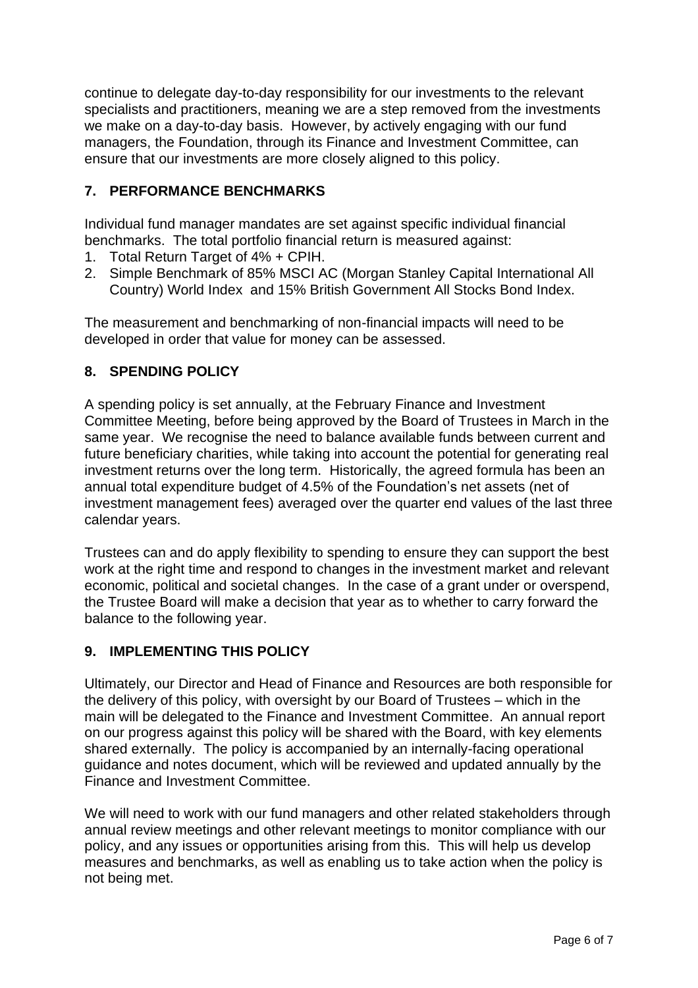continue to delegate day-to-day responsibility for our investments to the relevant specialists and practitioners, meaning we are a step removed from the investments we make on a day-to-day basis. However, by actively engaging with our fund managers, the Foundation, through its Finance and Investment Committee, can ensure that our investments are more closely aligned to this policy.

## **7. PERFORMANCE BENCHMARKS**

Individual fund manager mandates are set against specific individual financial benchmarks. The total portfolio financial return is measured against:

- 1. Total Return Target of 4% + CPIH.
- 2. Simple Benchmark of 85% MSCI AC (Morgan Stanley Capital International All Country) World Index and 15% British Government All Stocks Bond Index.

The measurement and benchmarking of non-financial impacts will need to be developed in order that value for money can be assessed.

## **8. SPENDING POLICY**

A spending policy is set annually, at the February Finance and Investment Committee Meeting, before being approved by the Board of Trustees in March in the same year. We recognise the need to balance available funds between current and future beneficiary charities, while taking into account the potential for generating real investment returns over the long term. Historically, the agreed formula has been an annual total expenditure budget of 4.5% of the Foundation's net assets (net of investment management fees) averaged over the quarter end values of the last three calendar years.

Trustees can and do apply flexibility to spending to ensure they can support the best work at the right time and respond to changes in the investment market and relevant economic, political and societal changes. In the case of a grant under or overspend, the Trustee Board will make a decision that year as to whether to carry forward the balance to the following year.

#### **9. IMPLEMENTING THIS POLICY**

Ultimately, our Director and Head of Finance and Resources are both responsible for the delivery of this policy, with oversight by our Board of Trustees – which in the main will be delegated to the Finance and Investment Committee. An annual report on our progress against this policy will be shared with the Board, with key elements shared externally. The policy is accompanied by an internally-facing operational guidance and notes document, which will be reviewed and updated annually by the Finance and Investment Committee.

We will need to work with our fund managers and other related stakeholders through annual review meetings and other relevant meetings to monitor compliance with our policy, and any issues or opportunities arising from this. This will help us develop measures and benchmarks, as well as enabling us to take action when the policy is not being met.